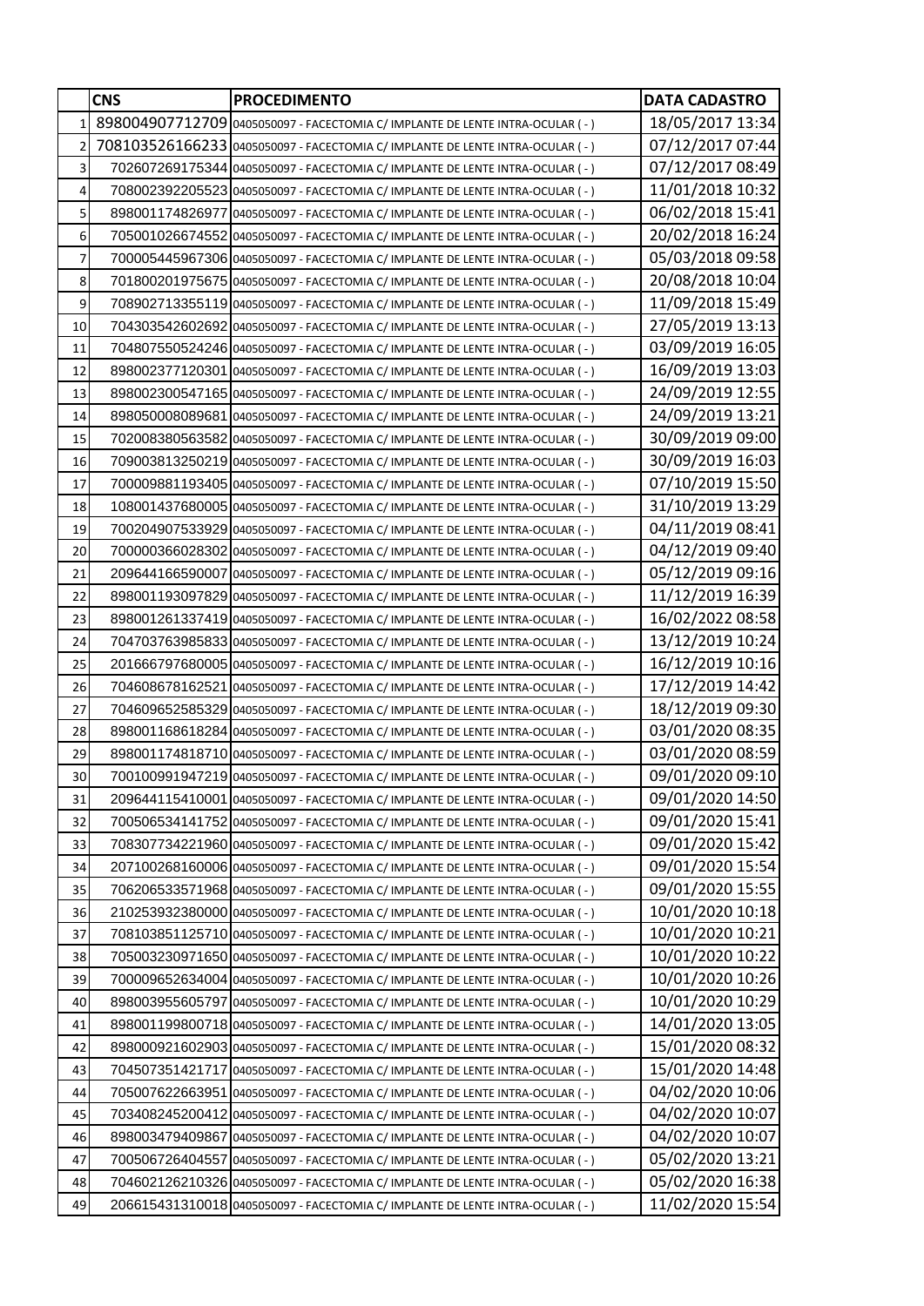|                | <b>CNS</b> | <b>PROCEDIMENTO</b>                                                           | <b>DATA CADASTRO</b>                 |
|----------------|------------|-------------------------------------------------------------------------------|--------------------------------------|
| $\mathbf{1}$   |            | 898004907712709 0405050097 - FACECTOMIA C/ IMPLANTE DE LENTE INTRA-OCULAR (-) | 18/05/2017 13:34                     |
| $\overline{2}$ |            | 708103526166233 0405050097 - FACECTOMIA C/ IMPLANTE DE LENTE INTRA-OCULAR (-) | 07/12/2017 07:44                     |
| 3              |            | 702607269175344 0405050097 - FACECTOMIA C/ IMPLANTE DE LENTE INTRA-OCULAR (-) | 07/12/2017 08:49                     |
| 4              |            | 708002392205523 0405050097 - FACECTOMIA C/ IMPLANTE DE LENTE INTRA-OCULAR (-) | 11/01/2018 10:32                     |
| 5              |            | 898001174826977 0405050097 - FACECTOMIA C/ IMPLANTE DE LENTE INTRA-OCULAR (-) | 06/02/2018 15:41                     |
| 6              |            | 705001026674552 0405050097 - FACECTOMIA C/ IMPLANTE DE LENTE INTRA-OCULAR (-) | 20/02/2018 16:24                     |
| 7              |            | 700005445967306 0405050097 - FACECTOMIA C/ IMPLANTE DE LENTE INTRA-OCULAR (-) | 05/03/2018 09:58                     |
| 8              |            | 701800201975675 0405050097 - FACECTOMIA C/ IMPLANTE DE LENTE INTRA-OCULAR (-) | 20/08/2018 10:04                     |
| 9              |            | 708902713355119 0405050097 - FACECTOMIA C/ IMPLANTE DE LENTE INTRA-OCULAR (-) | 11/09/2018 15:49                     |
| 10             |            | 704303542602692 0405050097 - FACECTOMIA C/ IMPLANTE DE LENTE INTRA-OCULAR (-) | 27/05/2019 13:13                     |
| 11             |            | 704807550524246 0405050097 - FACECTOMIA C/ IMPLANTE DE LENTE INTRA-OCULAR (-) | 03/09/2019 16:05                     |
| 12             |            | 898002377120301 0405050097 - FACECTOMIA C/ IMPLANTE DE LENTE INTRA-OCULAR (-) | 16/09/2019 13:03                     |
| 13             |            | 898002300547165 0405050097 - FACECTOMIA C/ IMPLANTE DE LENTE INTRA-OCULAR (-) | 24/09/2019 12:55                     |
| 14             |            | 898050008089681 0405050097 - FACECTOMIA C/ IMPLANTE DE LENTE INTRA-OCULAR (-) | 24/09/2019 13:21                     |
| 15             |            | 702008380563582 0405050097 - FACECTOMIA C/ IMPLANTE DE LENTE INTRA-OCULAR (-) | 30/09/2019 09:00                     |
| 16             |            | 709003813250219 0405050097 - FACECTOMIA C/ IMPLANTE DE LENTE INTRA-OCULAR (-) | 30/09/2019 16:03                     |
| 17             |            | 700009881193405 0405050097 - FACECTOMIA C/ IMPLANTE DE LENTE INTRA-OCULAR (-) | 07/10/2019 15:50                     |
| 18             |            | 108001437680005 0405050097 - FACECTOMIA C/ IMPLANTE DE LENTE INTRA-OCULAR (-) | 31/10/2019 13:29                     |
| 19             |            | 700204907533929 0405050097 - FACECTOMIA C/ IMPLANTE DE LENTE INTRA-OCULAR (-) | 04/11/2019 08:41                     |
| 20             |            | 700000366028302 0405050097 - FACECTOMIA C/ IMPLANTE DE LENTE INTRA-OCULAR (-) | 04/12/2019 09:40                     |
| 21             |            | 209644166590007 0405050097 - FACECTOMIA C/ IMPLANTE DE LENTE INTRA-OCULAR (-) | 05/12/2019 09:16                     |
| 22             |            | 898001193097829 0405050097 - FACECTOMIA C/ IMPLANTE DE LENTE INTRA-OCULAR (-) | 11/12/2019 16:39                     |
| 23             |            | 898001261337419 0405050097 - FACECTOMIA C/ IMPLANTE DE LENTE INTRA-OCULAR (-) | 16/02/2022 08:58                     |
| 24             |            | 704703763985833 0405050097 - FACECTOMIA C/ IMPLANTE DE LENTE INTRA-OCULAR (-) | 13/12/2019 10:24                     |
| 25             |            | 201666797680005 0405050097 - FACECTOMIA C/ IMPLANTE DE LENTE INTRA-OCULAR (-) | 16/12/2019 10:16                     |
| 26             |            | 704608678162521 0405050097 - FACECTOMIA C/ IMPLANTE DE LENTE INTRA-OCULAR (-) | 17/12/2019 14:42                     |
| 27             |            | 704609652585329 0405050097 - FACECTOMIA C/ IMPLANTE DE LENTE INTRA-OCULAR (-) | 18/12/2019 09:30                     |
| 28             |            | 898001168618284 0405050097 - FACECTOMIA C/ IMPLANTE DE LENTE INTRA-OCULAR (-) | 03/01/2020 08:35                     |
| 29             |            | 898001174818710 0405050097 - FACECTOMIA C/ IMPLANTE DE LENTE INTRA-OCULAR (-) | 03/01/2020 08:59                     |
| 30             |            | 700100991947219 0405050097 - FACECTOMIA C/ IMPLANTE DE LENTE INTRA-OCULAR (-) | 09/01/2020 09:10                     |
| 31             |            | 209644115410001 0405050097 - FACECTOMIA C/ IMPLANTE DE LENTE INTRA-OCULAR (-) | 09/01/2020 14:50                     |
| 32             |            | 700506534141752 0405050097 - FACECTOMIA C/ IMPLANTE DE LENTE INTRA-OCULAR (-) | 09/01/2020 15:41                     |
| 33             |            | 708307734221960 0405050097 - FACECTOMIA C/ IMPLANTE DE LENTE INTRA-OCULAR (-) | 09/01/2020 15:42                     |
| 34             |            | 207100268160006 0405050097 - FACECTOMIA C/ IMPLANTE DE LENTE INTRA-OCULAR (-) | 09/01/2020 15:54                     |
| 35             |            | 706206533571968 0405050097 - FACECTOMIA C/ IMPLANTE DE LENTE INTRA-OCULAR (-) | 09/01/2020 15:55                     |
| 36             |            | 210253932380000 0405050097 - FACECTOMIA C/ IMPLANTE DE LENTE INTRA-OCULAR (-) | 10/01/2020 10:18                     |
| 37             |            | 708103851125710 0405050097 - FACECTOMIA C/ IMPLANTE DE LENTE INTRA-OCULAR (-) | 10/01/2020 10:21                     |
| 38             |            | 705003230971650 0405050097 - FACECTOMIA C/ IMPLANTE DE LENTE INTRA-OCULAR (-) | 10/01/2020 10:22                     |
| 39             |            | 700009652634004 0405050097 - FACECTOMIA C/ IMPLANTE DE LENTE INTRA-OCULAR (-) | 10/01/2020 10:26                     |
| 40             |            | 898003955605797 0405050097 - FACECTOMIA C/ IMPLANTE DE LENTE INTRA-OCULAR (-) | 10/01/2020 10:29                     |
| 41             |            | 898001199800718 0405050097 - FACECTOMIA C/ IMPLANTE DE LENTE INTRA-OCULAR (-) | 14/01/2020 13:05                     |
| 42             |            | 898000921602903 0405050097 - FACECTOMIA C/ IMPLANTE DE LENTE INTRA-OCULAR (-) | 15/01/2020 08:32                     |
| 43             |            | 704507351421717 0405050097 - FACECTOMIA C/ IMPLANTE DE LENTE INTRA-OCULAR (-) | 15/01/2020 14:48                     |
| 44             |            | 705007622663951 0405050097 - FACECTOMIA C/ IMPLANTE DE LENTE INTRA-OCULAR (-) | 04/02/2020 10:06<br>04/02/2020 10:07 |
| 45             |            | 703408245200412 0405050097 - FACECTOMIA C/ IMPLANTE DE LENTE INTRA-OCULAR (-) | 04/02/2020 10:07                     |
| 46<br>47       |            | 898003479409867 0405050097 - FACECTOMIA C/ IMPLANTE DE LENTE INTRA-OCULAR (-) | 05/02/2020 13:21                     |
| 48             |            | 700506726404557 0405050097 - FACECTOMIA C/ IMPLANTE DE LENTE INTRA-OCULAR (-) | 05/02/2020 16:38                     |
| 49             |            | 704602126210326 0405050097 - FACECTOMIA C/ IMPLANTE DE LENTE INTRA-OCULAR (-) | 11/02/2020 15:54                     |
|                |            | 206615431310018 0405050097 - FACECTOMIA C/ IMPLANTE DE LENTE INTRA-OCULAR (-) |                                      |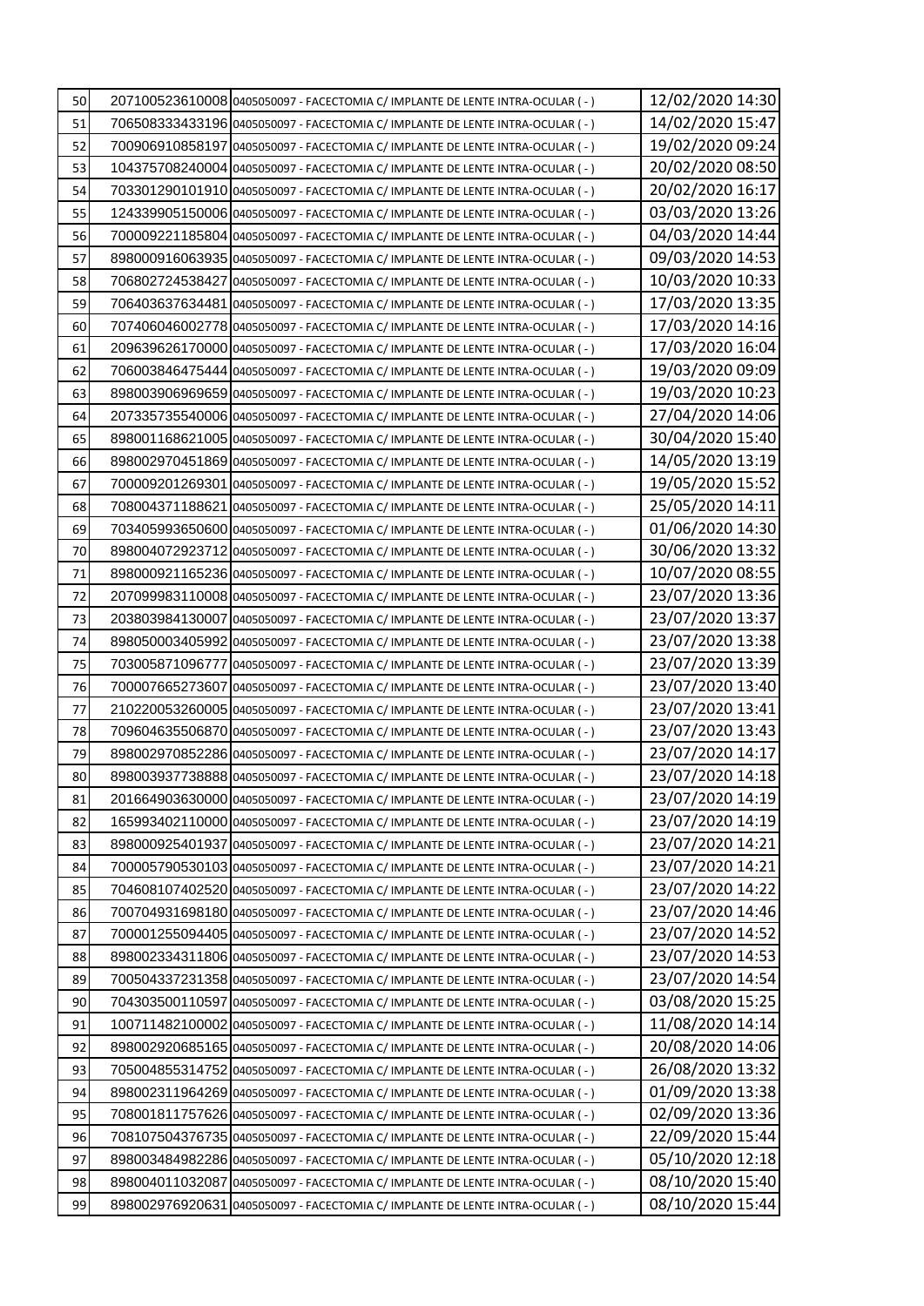| 50 | 207100523610008 0405050097 - FACECTOMIA C/ IMPLANTE DE LENTE INTRA-OCULAR (-)   | 12/02/2020 14:30 |
|----|---------------------------------------------------------------------------------|------------------|
| 51 | 706508333433196 0405050097 - FACECTOMIA C/ IMPLANTE DE LENTE INTRA-OCULAR (-)   | 14/02/2020 15:47 |
| 52 | 700906910858197 0405050097 - FACECTOMIA C/ IMPLANTE DE LENTE INTRA-OCULAR (-)   | 19/02/2020 09:24 |
| 53 | 104375708240004 0405050097 - FACECTOMIA C/ IMPLANTE DE LENTE INTRA-OCULAR (-)   | 20/02/2020 08:50 |
| 54 | 703301290101910 0405050097 - FACECTOMIA C/ IMPLANTE DE LENTE INTRA-OCULAR (-)   | 20/02/2020 16:17 |
| 55 | 124339905150006 0405050097 - FACECTOMIA C/ IMPLANTE DE LENTE INTRA-OCULAR (-)   | 03/03/2020 13:26 |
| 56 | 700009221185804 0405050097 - FACECTOMIA C/ IMPLANTE DE LENTE INTRA-OCULAR (-)   | 04/03/2020 14:44 |
| 57 | 898000916063935 0405050097 - FACECTOMIA C/ IMPLANTE DE LENTE INTRA-OCULAR (-)   | 09/03/2020 14:53 |
| 58 | 706802724538427 0405050097 - FACECTOMIA C/ IMPLANTE DE LENTE INTRA-OCULAR (-)   | 10/03/2020 10:33 |
| 59 | 706403637634481 0405050097 - FACECTOMIA C/ IMPLANTE DE LENTE INTRA-OCULAR (-)   | 17/03/2020 13:35 |
| 60 | 707406046002778 0405050097 - FACECTOMIA C/ IMPLANTE DE LENTE INTRA-OCULAR (-)   | 17/03/2020 14:16 |
| 61 | 209639626170000 0405050097 - FACECTOMIA C/ IMPLANTE DE LENTE INTRA-OCULAR (-)   | 17/03/2020 16:04 |
| 62 | 706003846475444 0405050097 - FACECTOMIA C/ IMPLANTE DE LENTE INTRA-OCULAR (-)   | 19/03/2020 09:09 |
| 63 | 898003906969659 0405050097 - FACECTOMIA C/ IMPLANTE DE LENTE INTRA-OCULAR (-)   | 19/03/2020 10:23 |
| 64 | 207335735540006 0405050097 - FACECTOMIA C/ IMPLANTE DE LENTE INTRA-OCULAR (-)   | 27/04/2020 14:06 |
| 65 | 898001168621005 0405050097 - FACECTOMIA C/ IMPLANTE DE LENTE INTRA-OCULAR (-)   | 30/04/2020 15:40 |
| 66 | 89800297045186910405050097 - FACECTOMIA C/ IMPLANTE DE LENTE INTRA-OCULAR ( - ) | 14/05/2020 13:19 |
| 67 | 700009201269301 0405050097 - FACECTOMIA C/ IMPLANTE DE LENTE INTRA-OCULAR (-)   | 19/05/2020 15:52 |
| 68 | 708004371188621 0405050097 - FACECTOMIA C/ IMPLANTE DE LENTE INTRA-OCULAR (-)   | 25/05/2020 14:11 |
| 69 | 703405993650600 0405050097 - FACECTOMIA C/ IMPLANTE DE LENTE INTRA-OCULAR (-)   | 01/06/2020 14:30 |
| 70 | 898004072923712 0405050097 - FACECTOMIA C/ IMPLANTE DE LENTE INTRA-OCULAR (-)   | 30/06/2020 13:32 |
| 71 | 898000921165236 0405050097 - FACECTOMIA C/ IMPLANTE DE LENTE INTRA-OCULAR (-)   | 10/07/2020 08:55 |
| 72 | 207099983110008 0405050097 - FACECTOMIA C/ IMPLANTE DE LENTE INTRA-OCULAR (-)   | 23/07/2020 13:36 |
| 73 | 203803984130007 0405050097 - FACECTOMIA C/ IMPLANTE DE LENTE INTRA-OCULAR (-)   | 23/07/2020 13:37 |
| 74 | 898050003405992 0405050097 - FACECTOMIA C/ IMPLANTE DE LENTE INTRA-OCULAR (-)   | 23/07/2020 13:38 |
| 75 | 703005871096777 0405050097 - FACECTOMIA C/ IMPLANTE DE LENTE INTRA-OCULAR (-)   | 23/07/2020 13:39 |
| 76 | 700007665273607 0405050097 - FACECTOMIA C/ IMPLANTE DE LENTE INTRA-OCULAR (-)   | 23/07/2020 13:40 |
| 77 | 210220053260005 0405050097 - FACECTOMIA C/ IMPLANTE DE LENTE INTRA-OCULAR (-)   | 23/07/2020 13:41 |
| 78 | 709604635506870 0405050097 - FACECTOMIA C/ IMPLANTE DE LENTE INTRA-OCULAR (-)   | 23/07/2020 13:43 |
| 79 | 898002970852286 0405050097 - FACECTOMIA C/ IMPLANTE DE LENTE INTRA-OCULAR (-)   | 23/07/2020 14:17 |
| 80 | 898003937738888 0405050097 - FACECTOMIA C/ IMPLANTE DE LENTE INTRA-OCULAR (-)   | 23/07/2020 14:18 |
| 81 | 201664903630000 0405050097 - FACECTOMIA C/ IMPLANTE DE LENTE INTRA-OCULAR (-)   | 23/07/2020 14:19 |
| 82 | 165993402110000 0405050097 - FACECTOMIA C/ IMPLANTE DE LENTE INTRA-OCULAR (-)   | 23/07/2020 14:19 |
| 83 | 898000925401937 0405050097 - FACECTOMIA C/ IMPLANTE DE LENTE INTRA-OCULAR (-)   | 23/07/2020 14:21 |
| 84 | 700005790530103 0405050097 - FACECTOMIA C/ IMPLANTE DE LENTE INTRA-OCULAR (-)   | 23/07/2020 14:21 |
| 85 | 704608107402520 0405050097 - FACECTOMIA C/ IMPLANTE DE LENTE INTRA-OCULAR (-)   | 23/07/2020 14:22 |
| 86 | 700704931698180 0405050097 - FACECTOMIA C/ IMPLANTE DE LENTE INTRA-OCULAR (-)   | 23/07/2020 14:46 |
| 87 | 700001255094405 0405050097 - FACECTOMIA C/ IMPLANTE DE LENTE INTRA-OCULAR (-)   | 23/07/2020 14:52 |
| 88 | 898002334311806 0405050097 - FACECTOMIA C/ IMPLANTE DE LENTE INTRA-OCULAR (-)   | 23/07/2020 14:53 |
| 89 | 700504337231358 0405050097 - FACECTOMIA C/ IMPLANTE DE LENTE INTRA-OCULAR (-)   | 23/07/2020 14:54 |
| 90 | 704303500110597 0405050097 - FACECTOMIA C/ IMPLANTE DE LENTE INTRA-OCULAR (-)   | 03/08/2020 15:25 |
| 91 | 100711482100002 0405050097 - FACECTOMIA C/ IMPLANTE DE LENTE INTRA-OCULAR (-)   | 11/08/2020 14:14 |
| 92 | 898002920685165 0405050097 - FACECTOMIA C/ IMPLANTE DE LENTE INTRA-OCULAR (-)   | 20/08/2020 14:06 |
| 93 | 705004855314752 0405050097 - FACECTOMIA C/ IMPLANTE DE LENTE INTRA-OCULAR (-)   | 26/08/2020 13:32 |
| 94 | 898002311964269 0405050097 - FACECTOMIA C/ IMPLANTE DE LENTE INTRA-OCULAR (-)   | 01/09/2020 13:38 |
| 95 | 708001811757626 0405050097 - FACECTOMIA C/ IMPLANTE DE LENTE INTRA-OCULAR (-)   | 02/09/2020 13:36 |
| 96 | 708107504376735 0405050097 - FACECTOMIA C/ IMPLANTE DE LENTE INTRA-OCULAR (-)   | 22/09/2020 15:44 |
| 97 | 898003484982286 0405050097 - FACECTOMIA C/ IMPLANTE DE LENTE INTRA-OCULAR (-)   | 05/10/2020 12:18 |
| 98 | 898004011032087 0405050097 - FACECTOMIA C/ IMPLANTE DE LENTE INTRA-OCULAR (-)   | 08/10/2020 15:40 |
| 99 | 898002976920631 0405050097 - FACECTOMIA C/ IMPLANTE DE LENTE INTRA-OCULAR (-)   | 08/10/2020 15:44 |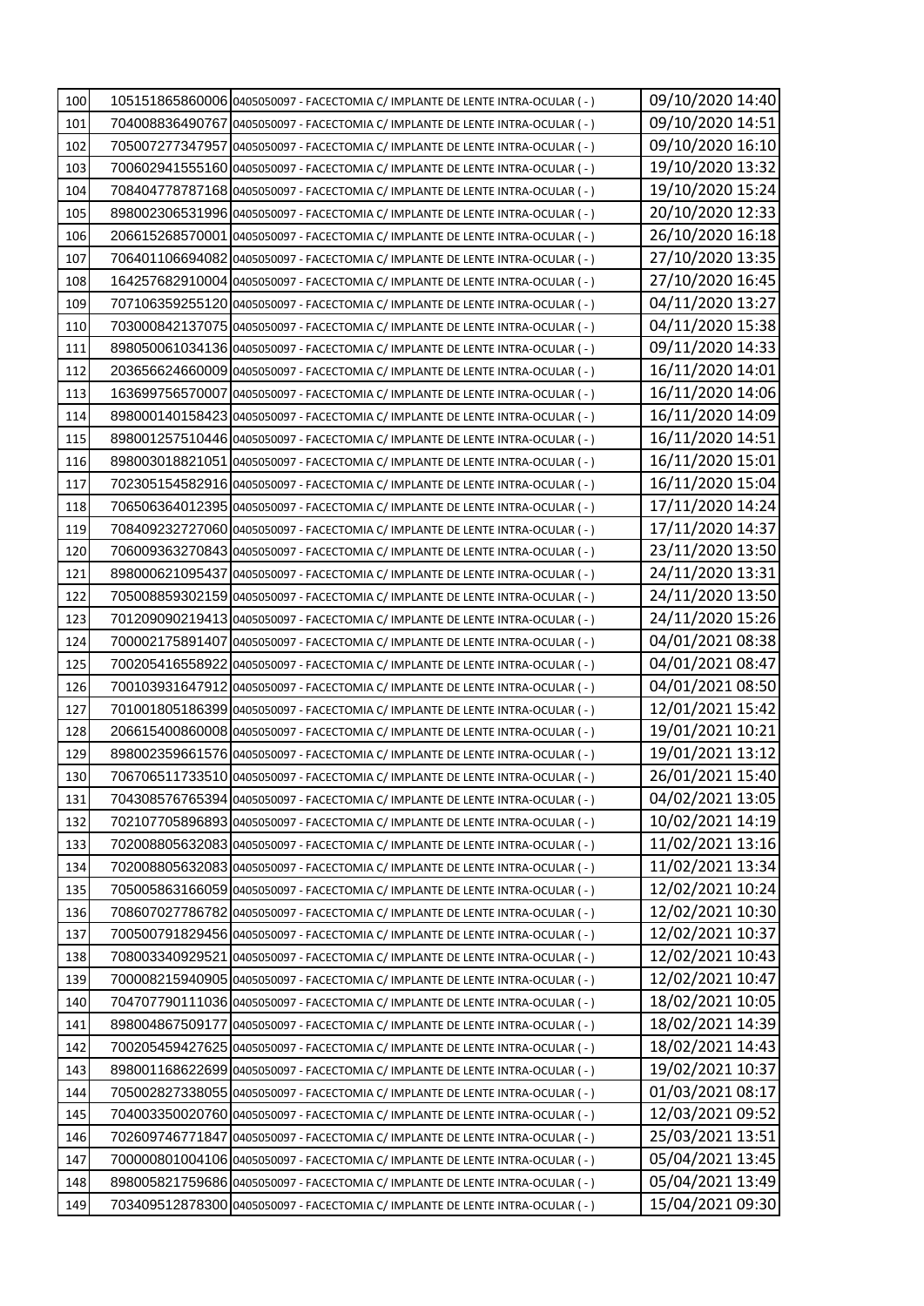| 100        | 105151865860006 0405050097 - FACECTOMIA C/ IMPLANTE DE LENTE INTRA-OCULAR (-)                                                                                  | 09/10/2020 14:40                     |
|------------|----------------------------------------------------------------------------------------------------------------------------------------------------------------|--------------------------------------|
| 101        | 704008836490767 0405050097 - FACECTOMIA C/ IMPLANTE DE LENTE INTRA-OCULAR (-)                                                                                  | 09/10/2020 14:51                     |
| 102        | 705007277347957 0405050097 - FACECTOMIA C/ IMPLANTE DE LENTE INTRA-OCULAR (-)                                                                                  | 09/10/2020 16:10                     |
| 103        | 700602941555160 0405050097 - FACECTOMIA C/ IMPLANTE DE LENTE INTRA-OCULAR (-)                                                                                  | 19/10/2020 13:32                     |
| 104        | 708404778787168 0405050097 - FACECTOMIA C/ IMPLANTE DE LENTE INTRA-OCULAR (-)                                                                                  | 19/10/2020 15:24                     |
| 105        | 898002306531996 0405050097 - FACECTOMIA C/ IMPLANTE DE LENTE INTRA-OCULAR (-)                                                                                  | 20/10/2020 12:33                     |
| 106        | 206615268570001 0405050097 - FACECTOMIA C/ IMPLANTE DE LENTE INTRA-OCULAR (-)                                                                                  | 26/10/2020 16:18                     |
| 107        | 706401106694082 0405050097 - FACECTOMIA C/ IMPLANTE DE LENTE INTRA-OCULAR (-)                                                                                  | 27/10/2020 13:35                     |
| 108        | 164257682910004 0405050097 - FACECTOMIA C/ IMPLANTE DE LENTE INTRA-OCULAR (-)                                                                                  | 27/10/2020 16:45                     |
| 109        | 707106359255120 0405050097 - FACECTOMIA C/ IMPLANTE DE LENTE INTRA-OCULAR (-)                                                                                  | 04/11/2020 13:27                     |
| 110        | 703000842137075 0405050097 - FACECTOMIA C/ IMPLANTE DE LENTE INTRA-OCULAR (-)                                                                                  | 04/11/2020 15:38                     |
| 111        | 898050061034136 0405050097 - FACECTOMIA C/ IMPLANTE DE LENTE INTRA-OCULAR (-)                                                                                  | 09/11/2020 14:33                     |
| 112        | 203656624660009 0405050097 - FACECTOMIA C/ IMPLANTE DE LENTE INTRA-OCULAR (-)                                                                                  | 16/11/2020 14:01                     |
| 113        | 163699756570007 0405050097 - FACECTOMIA C/ IMPLANTE DE LENTE INTRA-OCULAR (-)                                                                                  | 16/11/2020 14:06                     |
| 114        | 898000140158423 0405050097 - FACECTOMIA C/ IMPLANTE DE LENTE INTRA-OCULAR (-)                                                                                  | 16/11/2020 14:09                     |
| 115        | 898001257510446 0405050097 - FACECTOMIA C/ IMPLANTE DE LENTE INTRA-OCULAR (-)                                                                                  | 16/11/2020 14:51                     |
| 116        | 898003018821051 0405050097 - FACECTOMIA C/ IMPLANTE DE LENTE INTRA-OCULAR ( - )                                                                                | 16/11/2020 15:01                     |
| 117        | 702305154582916 0405050097 - FACECTOMIA C/ IMPLANTE DE LENTE INTRA-OCULAR (-)                                                                                  | 16/11/2020 15:04                     |
| 118        | 706506364012395 0405050097 - FACECTOMIA C/ IMPLANTE DE LENTE INTRA-OCULAR (-)                                                                                  | 17/11/2020 14:24                     |
| 119        | 708409232727060 0405050097 - FACECTOMIA C/ IMPLANTE DE LENTE INTRA-OCULAR (-)                                                                                  | 17/11/2020 14:37                     |
| 120        | 706009363270843 0405050097 - FACECTOMIA C/ IMPLANTE DE LENTE INTRA-OCULAR (-)                                                                                  | 23/11/2020 13:50                     |
| 121        | 898000621095437 0405050097 - FACECTOMIA C/ IMPLANTE DE LENTE INTRA-OCULAR (-)                                                                                  | 24/11/2020 13:31                     |
| 122        | 705008859302159 0405050097 - FACECTOMIA C/ IMPLANTE DE LENTE INTRA-OCULAR (-)                                                                                  | 24/11/2020 13:50                     |
| 123        | 701209090219413 0405050097 - FACECTOMIA C/ IMPLANTE DE LENTE INTRA-OCULAR (-)                                                                                  | 24/11/2020 15:26                     |
| 124        | 700002175891407 0405050097 - FACECTOMIA C/ IMPLANTE DE LENTE INTRA-OCULAR (-)                                                                                  | 04/01/2021 08:38                     |
| 125        | 700205416558922 0405050097 - FACECTOMIA C/ IMPLANTE DE LENTE INTRA-OCULAR (-)                                                                                  | 04/01/2021 08:47                     |
| 126        | 700103931647912 0405050097 - FACECTOMIA C/ IMPLANTE DE LENTE INTRA-OCULAR (-)                                                                                  | 04/01/2021 08:50                     |
| 127        | 701001805186399 0405050097 - FACECTOMIA C/ IMPLANTE DE LENTE INTRA-OCULAR (-)                                                                                  | 12/01/2021 15:42                     |
| 128        | 206615400860008 0405050097 - FACECTOMIA C/ IMPLANTE DE LENTE INTRA-OCULAR (-)                                                                                  | 19/01/2021 10:21                     |
| 129        | 898002359661576 0405050097 - FACECTOMIA C/ IMPLANTE DE LENTE INTRA-OCULAR (-)                                                                                  | 19/01/2021 13:12                     |
| 130        | 706706511733510 0405050097 - FACECTOMIA C/ IMPLANTE DE LENTE INTRA-OCULAR (-)                                                                                  | 26/01/2021 15:40                     |
| 131        | 704308576765394 0405050097 - FACECTOMIA C/ IMPLANTE DE LENTE INTRA-OCULAR (-)                                                                                  | 04/02/2021 13:05                     |
| 132        | 702107705896893 0405050097 - FACECTOMIA C/ IMPLANTE DE LENTE INTRA-OCULAR (-)                                                                                  | 10/02/2021 14:19<br>11/02/2021 13:16 |
| 133<br>134 | 702008805632083 0405050097 - FACECTOMIA C/ IMPLANTE DE LENTE INTRA-OCULAR (-)<br>702008805632083 0405050097 - FACECTOMIA C/ IMPLANTE DE LENTE INTRA-OCULAR (-) | 11/02/2021 13:34                     |
| 135        |                                                                                                                                                                | 12/02/2021 10:24                     |
| 136        | 705005863166059 0405050097 - FACECTOMIA C/ IMPLANTE DE LENTE INTRA-OCULAR (-)<br>708607027786782 0405050097 - FACECTOMIA C/ IMPLANTE DE LENTE INTRA-OCULAR (-) | 12/02/2021 10:30                     |
| 137        | 700500791829456 0405050097 - FACECTOMIA C/ IMPLANTE DE LENTE INTRA-OCULAR (-)                                                                                  | 12/02/2021 10:37                     |
| 138        | 708003340929521 0405050097 - FACECTOMIA C/ IMPLANTE DE LENTE INTRA-OCULAR (-)                                                                                  | 12/02/2021 10:43                     |
| 139        | 700008215940905 0405050097 - FACECTOMIA C/ IMPLANTE DE LENTE INTRA-OCULAR (-)                                                                                  | 12/02/2021 10:47                     |
| 140        | 704707790111036 0405050097 - FACECTOMIA C/ IMPLANTE DE LENTE INTRA-OCULAR (-)                                                                                  | 18/02/2021 10:05                     |
| 141        | 898004867509177 0405050097 - FACECTOMIA C/ IMPLANTE DE LENTE INTRA-OCULAR (-)                                                                                  | 18/02/2021 14:39                     |
| 142        | 700205459427625 0405050097 - FACECTOMIA C/ IMPLANTE DE LENTE INTRA-OCULAR (-)                                                                                  | 18/02/2021 14:43                     |
| 143        | 898001168622699 0405050097 - FACECTOMIA C/ IMPLANTE DE LENTE INTRA-OCULAR (-)                                                                                  | 19/02/2021 10:37                     |
| 144        | 705002827338055 0405050097 - FACECTOMIA C/ IMPLANTE DE LENTE INTRA-OCULAR (-)                                                                                  | 01/03/2021 08:17                     |
| 145        | 704003350020760 0405050097 - FACECTOMIA C/ IMPLANTE DE LENTE INTRA-OCULAR (-)                                                                                  | 12/03/2021 09:52                     |
| 146        | 702609746771847 0405050097 - FACECTOMIA C/ IMPLANTE DE LENTE INTRA-OCULAR (-)                                                                                  | 25/03/2021 13:51                     |
| 147        | 700000801004106 0405050097 - FACECTOMIA C/ IMPLANTE DE LENTE INTRA-OCULAR (-)                                                                                  | 05/04/2021 13:45                     |
| 148        | 898005821759686 0405050097 - FACECTOMIA C/ IMPLANTE DE LENTE INTRA-OCULAR (-)                                                                                  | 05/04/2021 13:49                     |
| 149        | 703409512878300 0405050097 - FACECTOMIA C/ IMPLANTE DE LENTE INTRA-OCULAR (-)                                                                                  | 15/04/2021 09:30                     |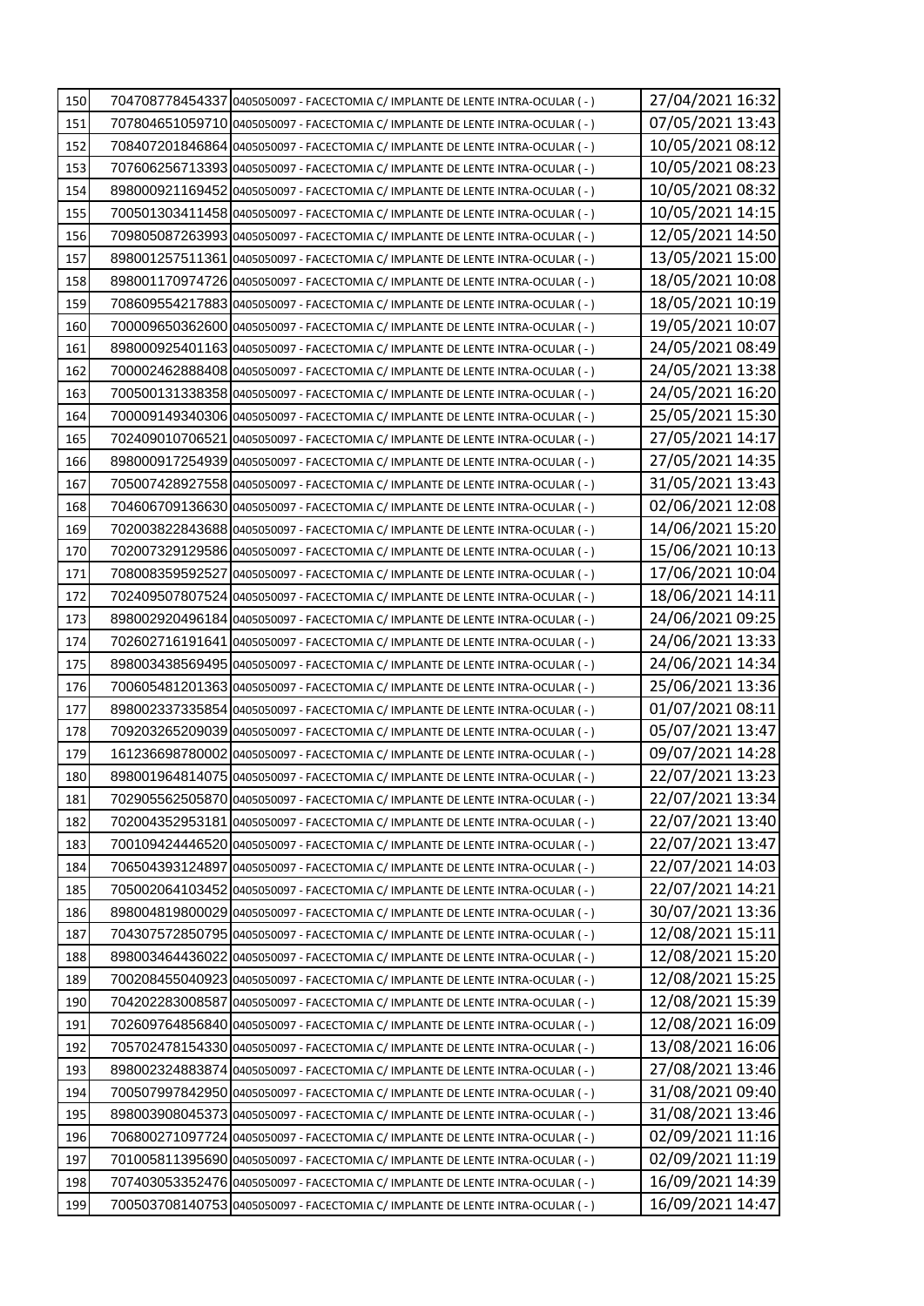| 150 | 704708778454337 0405050097 - FACECTOMIA C/ IMPLANTE DE LENTE INTRA-OCULAR (-)   | 27/04/2021 16:32                     |
|-----|---------------------------------------------------------------------------------|--------------------------------------|
| 151 | 707804651059710 0405050097 - FACECTOMIA C/ IMPLANTE DE LENTE INTRA-OCULAR (-)   | 07/05/2021 13:43                     |
| 152 | 708407201846864 0405050097 - FACECTOMIA C/ IMPLANTE DE LENTE INTRA-OCULAR (-)   | 10/05/2021 08:12                     |
| 153 | 707606256713393 0405050097 - FACECTOMIA C/ IMPLANTE DE LENTE INTRA-OCULAR (-)   | 10/05/2021 08:23                     |
| 154 | 898000921169452 0405050097 - FACECTOMIA C/ IMPLANTE DE LENTE INTRA-OCULAR (-)   | 10/05/2021 08:32                     |
| 155 | 700501303411458 0405050097 - FACECTOMIA C/ IMPLANTE DE LENTE INTRA-OCULAR (-)   | 10/05/2021 14:15                     |
| 156 | 709805087263993 0405050097 - FACECTOMIA C/ IMPLANTE DE LENTE INTRA-OCULAR (-)   | 12/05/2021 14:50                     |
| 157 | 898001257511361 0405050097 - FACECTOMIA C/ IMPLANTE DE LENTE INTRA-OCULAR (-)   | 13/05/2021 15:00                     |
| 158 | 898001170974726 0405050097 - FACECTOMIA C/ IMPLANTE DE LENTE INTRA-OCULAR (-)   | 18/05/2021 10:08                     |
| 159 | 708609554217883 0405050097 - FACECTOMIA C/ IMPLANTE DE LENTE INTRA-OCULAR (-)   | 18/05/2021 10:19                     |
| 160 | 700009650362600 0405050097 - FACECTOMIA C/ IMPLANTE DE LENTE INTRA-OCULAR (-)   | 19/05/2021 10:07                     |
| 161 | 898000925401163 0405050097 - FACECTOMIA C/ IMPLANTE DE LENTE INTRA-OCULAR (-)   | 24/05/2021 08:49                     |
| 162 | 700002462888408 0405050097 - FACECTOMIA C/ IMPLANTE DE LENTE INTRA-OCULAR (-)   | 24/05/2021 13:38                     |
| 163 | 700500131338358 0405050097 - FACECTOMIA C/ IMPLANTE DE LENTE INTRA-OCULAR (-)   | 24/05/2021 16:20                     |
| 164 | 700009149340306 0405050097 - FACECTOMIA C/ IMPLANTE DE LENTE INTRA-OCULAR (-)   | 25/05/2021 15:30                     |
| 165 | 702409010706521 0405050097 - FACECTOMIA C/ IMPLANTE DE LENTE INTRA-OCULAR (-)   | 27/05/2021 14:17                     |
| 166 | 898000917254939 0405050097 - FACECTOMIA C/ IMPLANTE DE LENTE INTRA-OCULAR (-)   | 27/05/2021 14:35                     |
| 167 | 705007428927558 0405050097 - FACECTOMIA C/ IMPLANTE DE LENTE INTRA-OCULAR (-)   | 31/05/2021 13:43                     |
| 168 | 704606709136630 0405050097 - FACECTOMIA C/ IMPLANTE DE LENTE INTRA-OCULAR (-)   | 02/06/2021 12:08                     |
| 169 | 702003822843688 0405050097 - FACECTOMIA C/ IMPLANTE DE LENTE INTRA-OCULAR (-)   | 14/06/2021 15:20                     |
| 170 | 702007329129586 0405050097 - FACECTOMIA C/ IMPLANTE DE LENTE INTRA-OCULAR (-)   | 15/06/2021 10:13                     |
| 171 | 708008359592527 0405050097 - FACECTOMIA C/ IMPLANTE DE LENTE INTRA-OCULAR (-)   | 17/06/2021 10:04                     |
| 172 | 702409507807524 0405050097 - FACECTOMIA C/ IMPLANTE DE LENTE INTRA-OCULAR (-)   | 18/06/2021 14:11                     |
| 173 | 898002920496184 0405050097 - FACECTOMIA C/ IMPLANTE DE LENTE INTRA-OCULAR (-)   | 24/06/2021 09:25                     |
| 174 | 702602716191641 0405050097 - FACECTOMIA C/ IMPLANTE DE LENTE INTRA-OCULAR (-)   | 24/06/2021 13:33                     |
| 175 | 898003438569495 0405050097 - FACECTOMIA C/ IMPLANTE DE LENTE INTRA-OCULAR (-)   | 24/06/2021 14:34                     |
| 176 | 70060548120136310405050097 - FACECTOMIA C/ IMPLANTE DE LENTE INTRA-OCULAR ( - ) | 25/06/2021 13:36                     |
| 177 | 898002337335854 0405050097 - FACECTOMIA C/ IMPLANTE DE LENTE INTRA-OCULAR (-)   | 01/07/2021 08:11                     |
| 178 | 709203265209039 0405050097 - FACECTOMIA C/ IMPLANTE DE LENTE INTRA-OCULAR (-)   | 05/07/2021 13:47                     |
| 179 | 161236698780002 0405050097 - FACECTOMIA C/ IMPLANTE DE LENTE INTRA-OCULAR (-)   | 09/07/2021 14:28                     |
| 180 | 898001964814075 0405050097 - FACECTOMIA C/ IMPLANTE DE LENTE INTRA-OCULAR (-)   | 22/07/2021 13:23                     |
| 181 | 702905562505870 0405050097 - FACECTOMIA C/ IMPLANTE DE LENTE INTRA-OCULAR (-)   | 22/07/2021 13:34                     |
| 182 | 702004352953181 0405050097 - FACECTOMIA C/ IMPLANTE DE LENTE INTRA-OCULAR (-)   | 22/07/2021 13:40                     |
| 183 | 700109424446520 0405050097 - FACECTOMIA C/ IMPLANTE DE LENTE INTRA-OCULAR (-)   | 22/07/2021 13:47                     |
| 184 | 706504393124897 0405050097 - FACECTOMIA C/ IMPLANTE DE LENTE INTRA-OCULAR (-)   | 22/07/2021 14:03                     |
| 185 | 705002064103452 0405050097 - FACECTOMIA C/ IMPLANTE DE LENTE INTRA-OCULAR (-)   | 22/07/2021 14:21                     |
| 186 | 898004819800029 0405050097 - FACECTOMIA C/ IMPLANTE DE LENTE INTRA-OCULAR (-)   | 30/07/2021 13:36                     |
| 187 | 704307572850795 0405050097 - FACECTOMIA C/ IMPLANTE DE LENTE INTRA-OCULAR (-)   | 12/08/2021 15:11                     |
| 188 | 898003464436022 0405050097 - FACECTOMIA C/ IMPLANTE DE LENTE INTRA-OCULAR (-)   | 12/08/2021 15:20                     |
| 189 | 700208455040923 0405050097 - FACECTOMIA C/ IMPLANTE DE LENTE INTRA-OCULAR (-)   | 12/08/2021 15:25                     |
| 190 | 704202283008587 0405050097 - FACECTOMIA C/ IMPLANTE DE LENTE INTRA-OCULAR (-)   | 12/08/2021 15:39                     |
| 191 | 702609764856840 0405050097 - FACECTOMIA C/ IMPLANTE DE LENTE INTRA-OCULAR (-)   | 12/08/2021 16:09                     |
| 192 | 705702478154330 0405050097 - FACECTOMIA C/ IMPLANTE DE LENTE INTRA-OCULAR (-)   | 13/08/2021 16:06                     |
| 193 | 898002324883874 0405050097 - FACECTOMIA C/ IMPLANTE DE LENTE INTRA-OCULAR (-)   | 27/08/2021 13:46                     |
| 194 | 700507997842950 0405050097 - FACECTOMIA C/ IMPLANTE DE LENTE INTRA-OCULAR (-)   | 31/08/2021 09:40                     |
| 195 | 898003908045373 0405050097 - FACECTOMIA C/ IMPLANTE DE LENTE INTRA-OCULAR (-)   | 31/08/2021 13:46                     |
| 196 | 706800271097724 0405050097 - FACECTOMIA C/ IMPLANTE DE LENTE INTRA-OCULAR (-)   | 02/09/2021 11:16<br>02/09/2021 11:19 |
| 197 | 701005811395690 0405050097 - FACECTOMIA C/ IMPLANTE DE LENTE INTRA-OCULAR (-)   | 16/09/2021 14:39                     |
| 198 | 707403053352476 0405050097 - FACECTOMIA C/ IMPLANTE DE LENTE INTRA-OCULAR (-)   |                                      |
| 199 | 700503708140753 0405050097 - FACECTOMIA C/ IMPLANTE DE LENTE INTRA-OCULAR (-)   | 16/09/2021 14:47                     |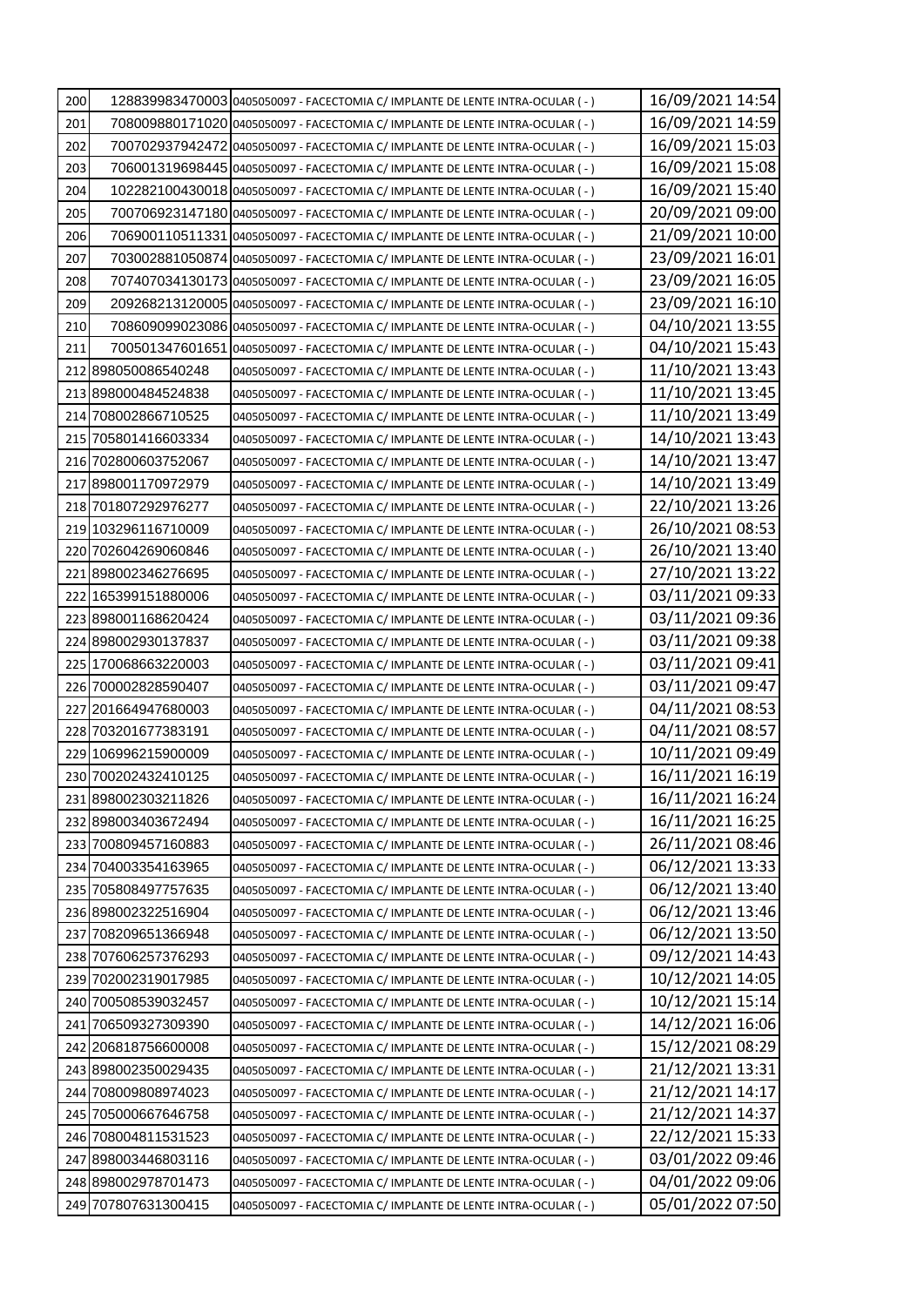| 200 |                                            | 128839983470003 0405050097 - FACECTOMIA C/ IMPLANTE DE LENTE INTRA-OCULAR (-)                                                  | 16/09/2021 14:54                     |
|-----|--------------------------------------------|--------------------------------------------------------------------------------------------------------------------------------|--------------------------------------|
| 201 |                                            | 708009880171020 0405050097 - FACECTOMIA C/ IMPLANTE DE LENTE INTRA-OCULAR (-)                                                  | 16/09/2021 14:59                     |
| 202 |                                            | 700702937942472 0405050097 - FACECTOMIA C/ IMPLANTE DE LENTE INTRA-OCULAR (-)                                                  | 16/09/2021 15:03                     |
| 203 |                                            | 706001319698445 0405050097 - FACECTOMIA C/ IMPLANTE DE LENTE INTRA-OCULAR ( - )                                                | 16/09/2021 15:08                     |
| 204 |                                            | 102282100430018 0405050097 - FACECTOMIA C/ IMPLANTE DE LENTE INTRA-OCULAR (-)                                                  | 16/09/2021 15:40                     |
| 205 |                                            | 700706923147180 0405050097 - FACECTOMIA C/ IMPLANTE DE LENTE INTRA-OCULAR (-)                                                  | 20/09/2021 09:00                     |
| 206 |                                            | 706900110511331 0405050097 - FACECTOMIA C/ IMPLANTE DE LENTE INTRA-OCULAR (-)                                                  | 21/09/2021 10:00                     |
| 207 |                                            | 703002881050874 0405050097 - FACECTOMIA C/ IMPLANTE DE LENTE INTRA-OCULAR (-)                                                  | 23/09/2021 16:01                     |
| 208 |                                            | 707407034130173 0405050097 - FACECTOMIA C/ IMPLANTE DE LENTE INTRA-OCULAR (-)                                                  | 23/09/2021 16:05                     |
| 209 |                                            | 209268213120005 0405050097 - FACECTOMIA C/ IMPLANTE DE LENTE INTRA-OCULAR (-)                                                  | 23/09/2021 16:10                     |
| 210 |                                            | 708609099023086 0405050097 - FACECTOMIA C/ IMPLANTE DE LENTE INTRA-OCULAR (-)                                                  | 04/10/2021 13:55                     |
| 211 |                                            | 700501347601651 0405050097 - FACECTOMIA C/ IMPLANTE DE LENTE INTRA-OCULAR (-)                                                  | 04/10/2021 15:43                     |
|     | 212 898050086540248                        | 0405050097 - FACECTOMIA C/ IMPLANTE DE LENTE INTRA-OCULAR (-)                                                                  | 11/10/2021 13:43                     |
|     | 213 898000484524838                        | 0405050097 - FACECTOMIA C/ IMPLANTE DE LENTE INTRA-OCULAR (-)                                                                  | 11/10/2021 13:45                     |
|     | 214 708002866710525                        | 0405050097 - FACECTOMIA C/ IMPLANTE DE LENTE INTRA-OCULAR (-)                                                                  | 11/10/2021 13:49                     |
|     | 215 705801416603334                        | 0405050097 - FACECTOMIA C/ IMPLANTE DE LENTE INTRA-OCULAR (-)                                                                  | 14/10/2021 13:43                     |
|     | 216 702800603752067                        | 0405050097 - FACECTOMIA C/ IMPLANTE DE LENTE INTRA-OCULAR ( - )                                                                | 14/10/2021 13:47                     |
|     | 217 898001170972979                        | 0405050097 - FACECTOMIA C/ IMPLANTE DE LENTE INTRA-OCULAR (-)                                                                  | 14/10/2021 13:49                     |
|     | 218 7018 0729 2976 277                     | 0405050097 - FACECTOMIA C/ IMPLANTE DE LENTE INTRA-OCULAR ( - )                                                                | 22/10/2021 13:26                     |
|     | 219 103296116710009                        | 0405050097 - FACECTOMIA C/ IMPLANTE DE LENTE INTRA-OCULAR (-)                                                                  | 26/10/2021 08:53                     |
|     | 220 702604269060846                        | 0405050097 - FACECTOMIA C/ IMPLANTE DE LENTE INTRA-OCULAR (-)                                                                  | 26/10/2021 13:40                     |
|     | 221 898002346276695                        | 0405050097 - FACECTOMIA C/ IMPLANTE DE LENTE INTRA-OCULAR (-)                                                                  | 27/10/2021 13:22                     |
|     | 2221165399151880006                        | 0405050097 - FACECTOMIA C/ IMPLANTE DE LENTE INTRA-OCULAR (-)                                                                  | 03/11/2021 09:33                     |
|     | 223 898001168620424                        | 0405050097 - FACECTOMIA C/ IMPLANTE DE LENTE INTRA-OCULAR (-)                                                                  | 03/11/2021 09:36                     |
|     | 224 898002930137837                        | 0405050097 - FACECTOMIA C/ IMPLANTE DE LENTE INTRA-OCULAR (-)                                                                  | 03/11/2021 09:38                     |
|     | 225170068663220003                         | 0405050097 - FACECTOMIA C/ IMPLANTE DE LENTE INTRA-OCULAR (-)                                                                  | 03/11/2021 09:41                     |
|     | 226 700002828590407                        | 0405050097 - FACECTOMIA C/ IMPLANTE DE LENTE INTRA-OCULAR (-)                                                                  | 03/11/2021 09:47                     |
|     | 227 201664947680003                        | 0405050097 - FACECTOMIA C/ IMPLANTE DE LENTE INTRA-OCULAR (-)                                                                  | 04/11/2021 08:53                     |
|     | 228 703201677383191                        | 0405050097 - FACECTOMIA C/ IMPLANTE DE LENTE INTRA-OCULAR (-)                                                                  | 04/11/2021 08:57                     |
|     | 229 106996215900009                        | 0405050097 - FACECTOMIA C/ IMPLANTE DE LENTE INTRA-OCULAR ( -)                                                                 | 10/11/2021 09:49                     |
|     | 230 700202432410125                        | 0405050097 - FACECTOMIA C/ IMPLANTE DE LENTE INTRA-OCULAR (-)                                                                  | 16/11/2021 16:19                     |
|     | 231 898002303211826                        | 0405050097 - FACECTOMIA C/ IMPLANTE DE LENTE INTRA-OCULAR (-)                                                                  | 16/11/2021 16:24<br>16/11/2021 16:25 |
|     | 232 898003403672494                        | 0405050097 - FACECTOMIA C/ IMPLANTE DE LENTE INTRA-OCULAR (-)                                                                  |                                      |
|     | 233 700809457160883                        | 0405050097 - FACECTOMIA C/ IMPLANTE DE LENTE INTRA-OCULAR (-)                                                                  | 26/11/2021 08:46<br>06/12/2021 13:33 |
|     | 234 704003354163965<br>235 705808497757635 | 0405050097 - FACECTOMIA C/ IMPLANTE DE LENTE INTRA-OCULAR ( - )                                                                | 06/12/2021 13:40                     |
|     | 236 898002322516904                        | 0405050097 - FACECTOMIA C/ IMPLANTE DE LENTE INTRA-OCULAR (-)                                                                  | 06/12/2021 13:46                     |
|     | 237 708209651366948                        | 0405050097 - FACECTOMIA C/ IMPLANTE DE LENTE INTRA-OCULAR (-)<br>0405050097 - FACECTOMIA C/ IMPLANTE DE LENTE INTRA-OCULAR (-) | 06/12/2021 13:50                     |
|     | 238 707606257376293                        | 0405050097 - FACECTOMIA C/ IMPLANTE DE LENTE INTRA-OCULAR ( - )                                                                | 09/12/2021 14:43                     |
|     | 239 702002319017985                        | 0405050097 - FACECTOMIA C/ IMPLANTE DE LENTE INTRA-OCULAR (-)                                                                  | 10/12/2021 14:05                     |
|     | 240 700508539032457                        | 0405050097 - FACECTOMIA C/ IMPLANTE DE LENTE INTRA-OCULAR (-)                                                                  | 10/12/2021 15:14                     |
|     | 241 706509327309390                        | 0405050097 - FACECTOMIA C/ IMPLANTE DE LENTE INTRA-OCULAR (-)                                                                  | 14/12/2021 16:06                     |
|     | 242 206818756600008                        | 0405050097 - FACECTOMIA C/ IMPLANTE DE LENTE INTRA-OCULAR ( - )                                                                | 15/12/2021 08:29                     |
|     | 243 898002350029435                        | 0405050097 - FACECTOMIA C/ IMPLANTE DE LENTE INTRA-OCULAR (-)                                                                  | 21/12/2021 13:31                     |
|     | 244 708009808974023                        | 0405050097 - FACECTOMIA C/ IMPLANTE DE LENTE INTRA-OCULAR (-)                                                                  | 21/12/2021 14:17                     |
|     | 245 705000667646758                        | 0405050097 - FACECTOMIA C/ IMPLANTE DE LENTE INTRA-OCULAR (-)                                                                  | 21/12/2021 14:37                     |
|     | 246 708004811531523                        | 0405050097 - FACECTOMIA C/ IMPLANTE DE LENTE INTRA-OCULAR (-)                                                                  | 22/12/2021 15:33                     |
|     | 247 898003446803116                        | 0405050097 - FACECTOMIA C/ IMPLANTE DE LENTE INTRA-OCULAR ( - )                                                                | 03/01/2022 09:46                     |
|     | 248 898002978701473                        | 0405050097 - FACECTOMIA C/ IMPLANTE DE LENTE INTRA-OCULAR (-)                                                                  | 04/01/2022 09:06                     |
|     | 249 707807631300415                        | 0405050097 - FACECTOMIA C/ IMPLANTE DE LENTE INTRA-OCULAR ( - )                                                                | 05/01/2022 07:50                     |
|     |                                            |                                                                                                                                |                                      |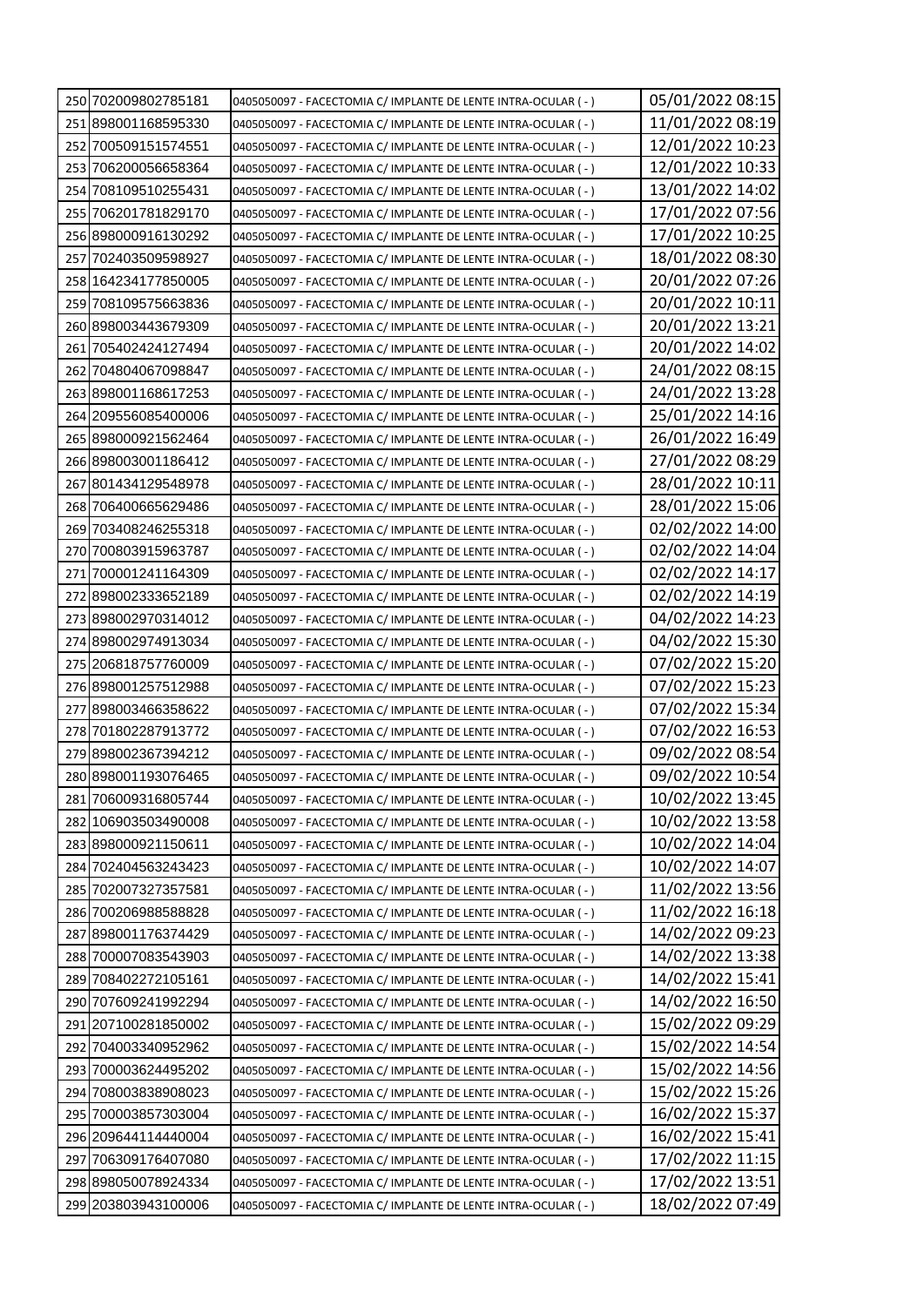| 250 702009802785181                        | 0405050097 - FACECTOMIA C/ IMPLANTE DE LENTE INTRA-OCULAR (-)                                                                    | 05/01/2022 08:15                     |
|--------------------------------------------|----------------------------------------------------------------------------------------------------------------------------------|--------------------------------------|
| 251 898001168595330                        | 0405050097 - FACECTOMIA C/ IMPLANTE DE LENTE INTRA-OCULAR (-)                                                                    | 11/01/2022 08:19                     |
| 252 700509151574551                        | 0405050097 - FACECTOMIA C/ IMPLANTE DE LENTE INTRA-OCULAR (-)                                                                    | 12/01/2022 10:23                     |
| 253 706200056658364                        | 0405050097 - FACECTOMIA C/ IMPLANTE DE LENTE INTRA-OCULAR (-)                                                                    | 12/01/2022 10:33                     |
| 254 708 1095 10 255 431                    | 0405050097 - FACECTOMIA C/ IMPLANTE DE LENTE INTRA-OCULAR (-)                                                                    | 13/01/2022 14:02                     |
| 255 706201781829170                        | 0405050097 - FACECTOMIA C/ IMPLANTE DE LENTE INTRA-OCULAR (-)                                                                    | 17/01/2022 07:56                     |
| 256 898000916130292                        | 0405050097 - FACECTOMIA C/ IMPLANTE DE LENTE INTRA-OCULAR (-)                                                                    | 17/01/2022 10:25                     |
| 257 702403509598927                        | 0405050097 - FACECTOMIA C/ IMPLANTE DE LENTE INTRA-OCULAR ( -)                                                                   | 18/01/2022 08:30                     |
| 258 164234177850005                        | 0405050097 - FACECTOMIA C/ IMPLANTE DE LENTE INTRA-OCULAR (-)                                                                    | 20/01/2022 07:26                     |
| 259 708109575663836                        | 0405050097 - FACECTOMIA C/ IMPLANTE DE LENTE INTRA-OCULAR (-)                                                                    | 20/01/2022 10:11                     |
| 260 898003443679309                        | 0405050097 - FACECTOMIA C/ IMPLANTE DE LENTE INTRA-OCULAR (-)                                                                    | 20/01/2022 13:21                     |
| 261 705402424127494                        | 0405050097 - FACECTOMIA C/ IMPLANTE DE LENTE INTRA-OCULAR (-)                                                                    | 20/01/2022 14:02                     |
| 262 704804067098847                        | 0405050097 - FACECTOMIA C/ IMPLANTE DE LENTE INTRA-OCULAR (-)                                                                    | 24/01/2022 08:15                     |
| 263 898001168617253                        | 0405050097 - FACECTOMIA C/ IMPLANTE DE LENTE INTRA-OCULAR (-)                                                                    | 24/01/2022 13:28                     |
| 2641209556085400006                        | 0405050097 - FACECTOMIA C/ IMPLANTE DE LENTE INTRA-OCULAR (-)                                                                    | 25/01/2022 14:16                     |
| 265 898000921562464                        | 0405050097 - FACECTOMIA C/ IMPLANTE DE LENTE INTRA-OCULAR (-)                                                                    | 26/01/2022 16:49                     |
| 266 898003001186412                        | 0405050097 - FACECTOMIA C/ IMPLANTE DE LENTE INTRA-OCULAR (-)                                                                    | 27/01/2022 08:29                     |
| 267 801434129548978                        | 0405050097 - FACECTOMIA C/ IMPLANTE DE LENTE INTRA-OCULAR (-)                                                                    | 28/01/2022 10:11                     |
| 268 706400665629486                        | 0405050097 - FACECTOMIA C/ IMPLANTE DE LENTE INTRA-OCULAR (-)                                                                    | 28/01/2022 15:06                     |
| 269 703408246255318                        | 0405050097 - FACECTOMIA C/ IMPLANTE DE LENTE INTRA-OCULAR (-)                                                                    | 02/02/2022 14:00                     |
| 270 700803915963787                        | 0405050097 - FACECTOMIA C/ IMPLANTE DE LENTE INTRA-OCULAR (-)                                                                    | 02/02/2022 14:04                     |
| 271 700001241164309                        | 0405050097 - FACECTOMIA C/ IMPLANTE DE LENTE INTRA-OCULAR (-)                                                                    | 02/02/2022 14:17                     |
| 272 898002333652189                        | 0405050097 - FACECTOMIA C/ IMPLANTE DE LENTE INTRA-OCULAR (-)                                                                    | 02/02/2022 14:19                     |
| 273 898002970314012                        | 0405050097 - FACECTOMIA C/ IMPLANTE DE LENTE INTRA-OCULAR (-)                                                                    | 04/02/2022 14:23                     |
| 274 898002974913034                        | 0405050097 - FACECTOMIA C/ IMPLANTE DE LENTE INTRA-OCULAR (-)                                                                    | 04/02/2022 15:30                     |
| 275 2068 1875 7760009                      | 0405050097 - FACECTOMIA C/ IMPLANTE DE LENTE INTRA-OCULAR (-)                                                                    | 07/02/2022 15:20                     |
| 276 898001257512988                        | 0405050097 - FACECTOMIA C/ IMPLANTE DE LENTE INTRA-OCULAR (-)                                                                    | 07/02/2022 15:23                     |
| 277 898003466358622                        | 0405050097 - FACECTOMIA C/ IMPLANTE DE LENTE INTRA-OCULAR ( - )                                                                  | 07/02/2022 15:34                     |
| 278 7018 0228 7913 772                     | 0405050097 - FACECTOMIA C/ IMPLANTE DE LENTE INTRA-OCULAR (-)                                                                    | 07/02/2022 16:53                     |
| 279 898002367394212                        | 0405050097 - FACECTOMIA C/ IMPLANTE DE LENTE INTRA-OCULAR (-)                                                                    | 09/02/2022 08:54                     |
| 280 898001193076465                        | 0405050097 - FACECTOMIA C/ IMPLANTE DE LENTE INTRA-OCULAR (-)                                                                    | 09/02/2022 10:54                     |
| 281 706009316805744                        | 0405050097 - FACECTOMIA C/ IMPLANTE DE LENTE INTRA-OCULAR (-)                                                                    | 10/02/2022 13:45                     |
| 282 106903503490008                        | 0405050097 - FACECTOMIA C/ IMPLANTE DE LENTE INTRA-OCULAR (-)                                                                    | 10/02/2022 13:58                     |
| 283 898000921150611                        | 0405050097 - FACECTOMIA C/ IMPLANTE DE LENTE INTRA-OCULAR ( - )                                                                  | 10/02/2022 14:04                     |
| 284 702404563243423                        | 0405050097 - FACECTOMIA C/ IMPLANTE DE LENTE INTRA-OCULAR (-)                                                                    | 10/02/2022 14:07                     |
| 285 702007327357581                        | 0405050097 - FACECTOMIA C/ IMPLANTE DE LENTE INTRA-OCULAR (-)                                                                    | 11/02/2022 13:56<br>11/02/2022 16:18 |
| 286 700206988588828                        | 0405050097 - FACECTOMIA C/ IMPLANTE DE LENTE INTRA-OCULAR (-)                                                                    | 14/02/2022 09:23                     |
| 287 898001176374429<br>288 700007083543903 | 0405050097 - FACECTOMIA C/ IMPLANTE DE LENTE INTRA-OCULAR (-)<br>0405050097 - FACECTOMIA C/ IMPLANTE DE LENTE INTRA-OCULAR (-)   | 14/02/2022 13:38                     |
| 289 708402272105161                        |                                                                                                                                  | 14/02/2022 15:41                     |
| 290 707609241992294                        | 0405050097 - FACECTOMIA C/ IMPLANTE DE LENTE INTRA-OCULAR (-)                                                                    | 14/02/2022 16:50                     |
| 291 207100281850002                        | 0405050097 - FACECTOMIA C/ IMPLANTE DE LENTE INTRA-OCULAR (-)                                                                    | 15/02/2022 09:29                     |
| 292 704003340952962                        | 0405050097 - FACECTOMIA C/ IMPLANTE DE LENTE INTRA-OCULAR ( - )                                                                  | 15/02/2022 14:54                     |
| 293 700003624495202                        | 0405050097 - FACECTOMIA C/ IMPLANTE DE LENTE INTRA-OCULAR ( - )<br>0405050097 - FACECTOMIA C/ IMPLANTE DE LENTE INTRA-OCULAR (-) | 15/02/2022 14:56                     |
| 294 708003838908023                        | 0405050097 - FACECTOMIA C/ IMPLANTE DE LENTE INTRA-OCULAR (-)                                                                    | 15/02/2022 15:26                     |
| 295 700003857303004                        | 0405050097 - FACECTOMIA C/ IMPLANTE DE LENTE INTRA-OCULAR (-)                                                                    | 16/02/2022 15:37                     |
| 296 209644114440004                        | 0405050097 - FACECTOMIA C/ IMPLANTE DE LENTE INTRA-OCULAR ( - )                                                                  | 16/02/2022 15:41                     |
| 297 706309176407080                        | 0405050097 - FACECTOMIA C/ IMPLANTE DE LENTE INTRA-OCULAR (-)                                                                    | 17/02/2022 11:15                     |
| 298 898050078924334                        | 0405050097 - FACECTOMIA C/ IMPLANTE DE LENTE INTRA-OCULAR (-)                                                                    | 17/02/2022 13:51                     |
| 299 203803943100006                        | 0405050097 - FACECTOMIA C/ IMPLANTE DE LENTE INTRA-OCULAR (-)                                                                    | 18/02/2022 07:49                     |
|                                            |                                                                                                                                  |                                      |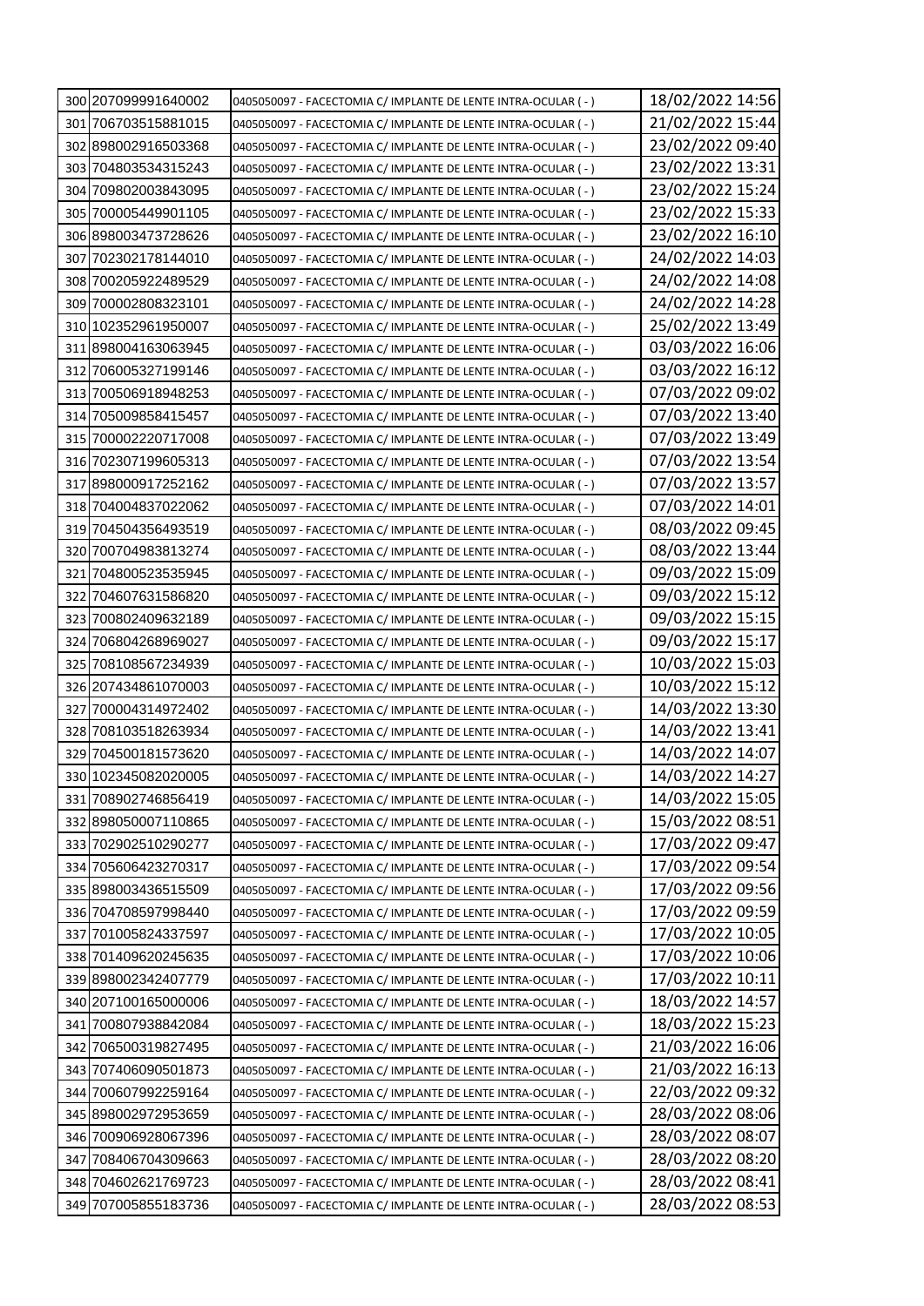| 300 207099991640002 | 0405050097 - FACECTOMIA C/ IMPLANTE DE LENTE INTRA-OCULAR (-)   | 18/02/2022 14:56 |
|---------------------|-----------------------------------------------------------------|------------------|
| 301 706703515881015 | 0405050097 - FACECTOMIA C/ IMPLANTE DE LENTE INTRA-OCULAR (-)   | 21/02/2022 15:44 |
| 302 898002916503368 | 0405050097 - FACECTOMIA C/ IMPLANTE DE LENTE INTRA-OCULAR ( -)  | 23/02/2022 09:40 |
| 303 704803534315243 | 0405050097 - FACECTOMIA C/ IMPLANTE DE LENTE INTRA-OCULAR (-)   | 23/02/2022 13:31 |
| 304 709802003843095 | 0405050097 - FACECTOMIA C/ IMPLANTE DE LENTE INTRA-OCULAR (-)   | 23/02/2022 15:24 |
| 305 700005449901105 | 0405050097 - FACECTOMIA C/ IMPLANTE DE LENTE INTRA-OCULAR (-)   | 23/02/2022 15:33 |
| 306 898003473728626 | 0405050097 - FACECTOMIA C/ IMPLANTE DE LENTE INTRA-OCULAR (-)   | 23/02/2022 16:10 |
| 307 702302178144010 | 0405050097 - FACECTOMIA C/ IMPLANTE DE LENTE INTRA-OCULAR (-)   | 24/02/2022 14:03 |
| 308 700205922489529 | 0405050097 - FACECTOMIA C/ IMPLANTE DE LENTE INTRA-OCULAR ( - ) | 24/02/2022 14:08 |
| 309 700002808323101 | 0405050097 - FACECTOMIA C/ IMPLANTE DE LENTE INTRA-OCULAR (-)   | 24/02/2022 14:28 |
| 310 102352961950007 | 0405050097 - FACECTOMIA C/ IMPLANTE DE LENTE INTRA-OCULAR (-)   | 25/02/2022 13:49 |
| 311 898004163063945 | 0405050097 - FACECTOMIA C/ IMPLANTE DE LENTE INTRA-OCULAR (-)   | 03/03/2022 16:06 |
| 312 706005327199146 | 0405050097 - FACECTOMIA C/ IMPLANTE DE LENTE INTRA-OCULAR (-)   | 03/03/2022 16:12 |
| 313 700506918948253 | 0405050097 - FACECTOMIA C/ IMPLANTE DE LENTE INTRA-OCULAR (-)   | 07/03/2022 09:02 |
| 314 705009858415457 | 0405050097 - FACECTOMIA C/ IMPLANTE DE LENTE INTRA-OCULAR (-)   | 07/03/2022 13:40 |
| 315 700002220717008 | 0405050097 - FACECTOMIA C/ IMPLANTE DE LENTE INTRA-OCULAR (-)   | 07/03/2022 13:49 |
| 316 702307199605313 | 0405050097 - FACECTOMIA C/ IMPLANTE DE LENTE INTRA-OCULAR (-)   | 07/03/2022 13:54 |
| 317 898000917252162 | 0405050097 - FACECTOMIA C/ IMPLANTE DE LENTE INTRA-OCULAR (-)   | 07/03/2022 13:57 |
| 3181704004837022062 | 0405050097 - FACECTOMIA C/ IMPLANTE DE LENTE INTRA-OCULAR (-)   | 07/03/2022 14:01 |
| 319 704504356493519 | 0405050097 - FACECTOMIA C/ IMPLANTE DE LENTE INTRA-OCULAR (-)   | 08/03/2022 09:45 |
| 320 700704983813274 | 0405050097 - FACECTOMIA C/ IMPLANTE DE LENTE INTRA-OCULAR (-)   | 08/03/2022 13:44 |
| 321 704800523535945 | 0405050097 - FACECTOMIA C/ IMPLANTE DE LENTE INTRA-OCULAR (-)   | 09/03/2022 15:09 |
| 322 704607631586820 | 0405050097 - FACECTOMIA C/ IMPLANTE DE LENTE INTRA-OCULAR (-)   | 09/03/2022 15:12 |
| 323 700802409632189 | 0405050097 - FACECTOMIA C/ IMPLANTE DE LENTE INTRA-OCULAR (-)   | 09/03/2022 15:15 |
| 324 706804268969027 | 0405050097 - FACECTOMIA C/ IMPLANTE DE LENTE INTRA-OCULAR (-)   | 09/03/2022 15:17 |
| 325 708108567234939 | 0405050097 - FACECTOMIA C/ IMPLANTE DE LENTE INTRA-OCULAR (-)   | 10/03/2022 15:03 |
| 326 207434861070003 | 0405050097 - FACECTOMIA C/ IMPLANTE DE LENTE INTRA-OCULAR (-)   | 10/03/2022 15:12 |
| 327 700004314972402 | 0405050097 - FACECTOMIA C/ IMPLANTE DE LENTE INTRA-OCULAR ( -)  | 14/03/2022 13:30 |
| 328 708103518263934 | 0405050097 - FACECTOMIA C/ IMPLANTE DE LENTE INTRA-OCULAR (-)   | 14/03/2022 13:41 |
| 329 704500181573620 | 0405050097 - FACECTOMIA C/ IMPLANTE DE LENTE INTRA-OCULAR (-)   | 14/03/2022 14:07 |
| 330 102345082020005 | 0405050097 - FACECTOMIA C/ IMPLANTE DE LENTE INTRA-OCULAR (-)   | 14/03/2022 14:27 |
| 331 708902746856419 | 0405050097 - FACECTOMIA C/ IMPLANTE DE LENTE INTRA-OCULAR (-)   | 14/03/2022 15:05 |
| 332 898050007110865 | 0405050097 - FACECTOMIA C/ IMPLANTE DE LENTE INTRA-OCULAR (-)   | 15/03/2022 08:51 |
| 333 702902510290277 | 0405050097 - FACECTOMIA C/ IMPLANTE DE LENTE INTRA-OCULAR (-)   | 17/03/2022 09:47 |
| 334 705606423270317 | 0405050097 - FACECTOMIA C/ IMPLANTE DE LENTE INTRA-OCULAR (-)   | 17/03/2022 09:54 |
| 335 898003436515509 | 0405050097 - FACECTOMIA C/ IMPLANTE DE LENTE INTRA-OCULAR (-)   | 17/03/2022 09:56 |
| 336 704708597998440 | 0405050097 - FACECTOMIA C/ IMPLANTE DE LENTE INTRA-OCULAR (-)   | 17/03/2022 09:59 |
| 337 701005824337597 | 0405050097 - FACECTOMIA C/ IMPLANTE DE LENTE INTRA-OCULAR (-)   | 17/03/2022 10:05 |
| 338 701409620245635 | 0405050097 - FACECTOMIA C/ IMPLANTE DE LENTE INTRA-OCULAR (-)   | 17/03/2022 10:06 |
| 339 898002342407779 | 0405050097 - FACECTOMIA C/ IMPLANTE DE LENTE INTRA-OCULAR (-)   | 17/03/2022 10:11 |
| 340 207100165000006 | 0405050097 - FACECTOMIA C/ IMPLANTE DE LENTE INTRA-OCULAR (-)   | 18/03/2022 14:57 |
| 341 700807938842084 | 0405050097 - FACECTOMIA C/ IMPLANTE DE LENTE INTRA-OCULAR ( - ) | 18/03/2022 15:23 |
| 342 706500319827495 | 0405050097 - FACECTOMIA C/ IMPLANTE DE LENTE INTRA-OCULAR ( - ) | 21/03/2022 16:06 |
| 343 707406090501873 | 0405050097 - FACECTOMIA C/ IMPLANTE DE LENTE INTRA-OCULAR (-)   | 21/03/2022 16:13 |
| 344 700607992259164 | 0405050097 - FACECTOMIA C/ IMPLANTE DE LENTE INTRA-OCULAR (-)   | 22/03/2022 09:32 |
| 345 898002972953659 | 0405050097 - FACECTOMIA C/ IMPLANTE DE LENTE INTRA-OCULAR (-)   | 28/03/2022 08:06 |
| 346 700906928067396 | 0405050097 - FACECTOMIA C/ IMPLANTE DE LENTE INTRA-OCULAR ( - ) | 28/03/2022 08:07 |
| 347 708406704309663 | 0405050097 - FACECTOMIA C/ IMPLANTE DE LENTE INTRA-OCULAR (-)   | 28/03/2022 08:20 |
| 348 704602621769723 | 0405050097 - FACECTOMIA C/ IMPLANTE DE LENTE INTRA-OCULAR (-)   | 28/03/2022 08:41 |
| 349 707005855183736 | 0405050097 - FACECTOMIA C/ IMPLANTE DE LENTE INTRA-OCULAR (-)   | 28/03/2022 08:53 |